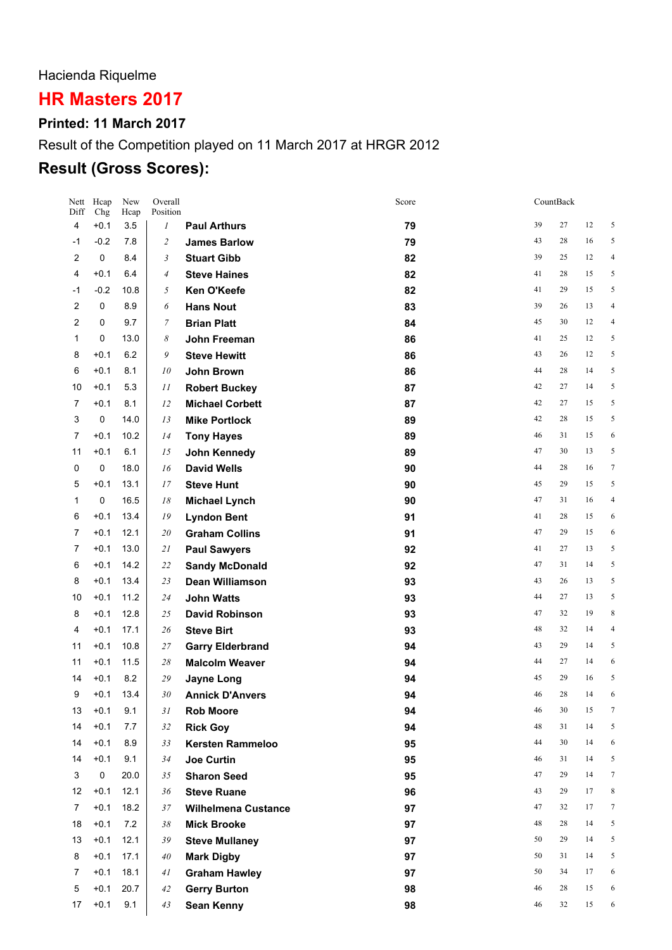## Hacienda Riquelme

# **HR Masters 2017**

#### **Printed: 11 March 2017**

## Result of the Competition played on 11 March 2017 at HRGR 2012

## **Result (Gross Scores):**

| Nett<br>Diff   | Hcap<br>Chg      | New<br>Hcap | Overall<br>Position |                                     | Score    |          | CountBack |          |                |
|----------------|------------------|-------------|---------------------|-------------------------------------|----------|----------|-----------|----------|----------------|
| 4              | $+0.1$           | 3.5         | $\boldsymbol{l}$    | <b>Paul Arthurs</b>                 | 79       | 39       | 27        | 12       | 5              |
| -1             | $-0.2$           | 7.8         | $\overline{c}$      | <b>James Barlow</b>                 | 79       | 43       | 28        | 16       | 5              |
| 2              | 0                | 8.4         | $\mathfrak{Z}$      | <b>Stuart Gibb</b>                  | 82       | 39       | 25        | 12       | $\overline{4}$ |
| 4              | $+0.1$           | 6.4         | $\overline{4}$      | <b>Steve Haines</b>                 | 82       | 41       | 28        | 15       | 5              |
| -1             | $-0.2$           | 10.8        | 5                   | <b>Ken O'Keefe</b>                  | 82       | 41       | 29        | 15       | 5              |
| 2              | 0                | 8.9         | 6                   | <b>Hans Nout</b>                    | 83       | 39       | 26        | 13       | $\overline{4}$ |
| 2              | 0                | 9.7         | 7                   | <b>Brian Platt</b>                  | 84       | 45       | 30        | 12       | $\overline{4}$ |
| 1              | 0                | 13.0        | 8                   | John Freeman                        | 86       | 41       | 25        | 12       | 5              |
| 8              | $+0.1$           | 6.2         | 9                   | <b>Steve Hewitt</b>                 | 86       | 43       | 26        | 12       | 5              |
| 6              | $+0.1$           | 8.1         | 10                  | John Brown                          | 86       | 44       | 28        | 14       | 5              |
| 10             | $+0.1$           | 5.3         | 11                  | <b>Robert Buckey</b>                | 87       | 42       | 27        | 14       | 5              |
| 7              | $+0.1$           | 8.1         | 12                  | <b>Michael Corbett</b>              | 87       | 42       | 27        | 15       | 5              |
| 3              | 0                | 14.0        | 13                  | <b>Mike Portlock</b>                | 89       | 42       | 28        | 15       | 5              |
| $\overline{7}$ | $+0.1$           | 10.2        | 14                  | <b>Tony Hayes</b>                   | 89       | 46       | 31        | 15       | 6              |
| 11             | $+0.1$           | 6.1         | 15                  | John Kennedy                        | 89       | 47       | 30        | 13       | 5              |
| 0              | 0                | 18.0        | 16                  | <b>David Wells</b>                  | 90       | 44       | 28        | 16       | $\sqrt{ }$     |
| 5              | $+0.1$           | 13.1        | 17                  | <b>Steve Hunt</b>                   | 90       | 45       | 29        | 15       | 5              |
| 1              | 0                | 16.5        | 18                  | <b>Michael Lynch</b>                | 90       | 47       | 31        | 16       | $\overline{4}$ |
| 6              | $+0.1$           | 13.4        | 19                  | <b>Lyndon Bent</b>                  | 91       | 41       | 28        | 15       | 6              |
| $\overline{7}$ | $+0.1$           | 12.1        | 20                  | <b>Graham Collins</b>               | 91       | 47       | 29        | 15       | 6              |
| 7              | $+0.1$           | 13.0        | 21                  | <b>Paul Sawyers</b>                 | 92       | 41       | 27        | 13       | 5              |
| 6              | $+0.1$           | 14.2        | 22                  | <b>Sandy McDonald</b>               | 92       | 47       | 31        | 14       | 5              |
| 8              | $+0.1$           | 13.4        | 23                  | <b>Dean Williamson</b>              | 93       | 43       | 26        | 13       | 5              |
| 10             | $+0.1$           | 11.2        | 24                  | <b>John Watts</b>                   | 93       | 44       | 27        | 13       | 5              |
| 8              | $+0.1$           | 12.8        | 25                  | <b>David Robinson</b>               | 93       | 47       | 32        | 19       | 8              |
| 4              | $+0.1$           | 17.1        | 26                  | <b>Steve Birt</b>                   | 93       | 48       | 32        | 14       | $\overline{4}$ |
| 11             | $+0.1$           | 10.8        | 27                  | <b>Garry Elderbrand</b>             | 94       | 43       | 29        | 14       | 5              |
| 11             | $+0.1$           | 11.5        | 28                  | <b>Malcolm Weaver</b>               | 94       | 44<br>45 | 27<br>29  | 14       | 6<br>5         |
| 14             | $+0.1$           | 8.2         | 29                  | <b>Jayne Long</b>                   | 94       | 46       | 28        | 16<br>14 | 6              |
| 9<br>13        | $+0.1$<br>$+0.1$ | 13.4<br>9.1 | 30<br>31            | <b>Annick D'Anvers</b>              | 94<br>94 | 46       | 30        | 15       | 7              |
| 14             | $+0.1$           | 7.7         | 32                  | <b>Rob Moore</b><br><b>Rick Goy</b> | 94       | 48       | 31        | 14       | 5              |
| 14             | $+0.1$           | 8.9         | 33                  | <b>Kersten Rammeloo</b>             | 95       | 44       | 30        | 14       | 6              |
| 14             | $+0.1$           | 9.1         | 34                  | <b>Joe Curtin</b>                   | 95       | 46       | 31        | 14       | 5              |
| 3              | 0                | 20.0        | 35                  | <b>Sharon Seed</b>                  | 95       | 47       | 29        | 14       | 7              |
| 12             | $+0.1$           | 12.1        | 36                  | <b>Steve Ruane</b>                  | 96       | 43       | 29        | 17       | 8              |
| $\overline{7}$ | $+0.1$           | 18.2        | 37                  | <b>Wilhelmena Custance</b>          | 97       | 47       | 32        | 17       | 7              |
| 18             | $+0.1$           | 7.2         | 38                  | <b>Mick Brooke</b>                  | 97       | 48       | 28        | 14       | 5              |
| 13             | $+0.1$           | 12.1        | 39                  | <b>Steve Mullaney</b>               | 97       | 50       | 29        | 14       | 5              |
| 8              | $+0.1$           | 17.1        | 40                  | <b>Mark Digby</b>                   | 97       | 50       | 31        | 14       | 5              |
| 7              | $+0.1$           | 18.1        | 41                  | <b>Graham Hawley</b>                | 97       | 50       | 34        | 17       | 6              |
| 5              | $+0.1$           | 20.7        | 42                  | <b>Gerry Burton</b>                 | 98       | 46       | 28        | 15       | 6              |
| 17             | $+0.1$           | 9.1         | 43                  | Sean Kenny                          | 98       | 46       | 32        | 15       | 6              |
|                |                  |             |                     |                                     |          |          |           |          |                |